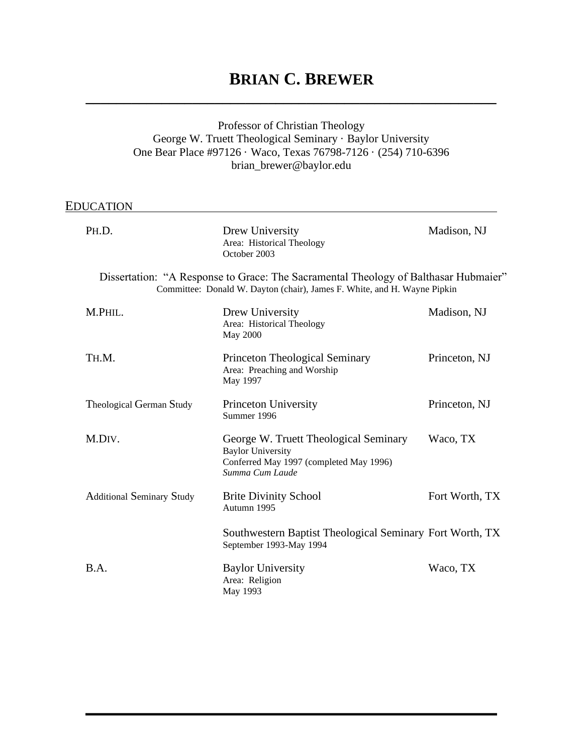# **BRIAN C. BREWER**

# Professor of Christian Theology George W. Truett Theological Seminary · Baylor University One Bear Place #97126 · Waco, Texas 76798-7126 · (254) 710-6396 brian\_brewer@baylor.edu

**\_\_\_\_\_\_\_\_\_\_\_\_\_\_\_\_\_\_\_\_\_\_\_\_\_\_\_\_\_\_\_\_\_\_\_\_\_\_\_\_\_\_\_\_\_\_\_\_\_\_\_\_\_\_**

# EDUCATION

| PH.D.                                                                                                                                                           | Drew University<br>Area: Historical Theology<br>October 2003                                                                    | Madison, NJ    |
|-----------------------------------------------------------------------------------------------------------------------------------------------------------------|---------------------------------------------------------------------------------------------------------------------------------|----------------|
| Dissertation: "A Response to Grace: The Sacramental Theology of Balthasar Hubmaier"<br>Committee: Donald W. Dayton (chair), James F. White, and H. Wayne Pipkin |                                                                                                                                 |                |
| M.PHIL.                                                                                                                                                         | Drew University<br>Area: Historical Theology<br>May 2000                                                                        | Madison, NJ    |
| TH.M.                                                                                                                                                           | <b>Princeton Theological Seminary</b><br>Area: Preaching and Worship<br>May 1997                                                | Princeton, NJ  |
| Theological German Study                                                                                                                                        | <b>Princeton University</b><br>Summer 1996                                                                                      | Princeton, NJ  |
| M.DIV.                                                                                                                                                          | George W. Truett Theological Seminary<br><b>Baylor University</b><br>Conferred May 1997 (completed May 1996)<br>Summa Cum Laude | Waco, TX       |
| <b>Additional Seminary Study</b>                                                                                                                                | <b>Brite Divinity School</b><br>Autumn 1995                                                                                     | Fort Worth, TX |
|                                                                                                                                                                 | Southwestern Baptist Theological Seminary Fort Worth, TX<br>September 1993-May 1994                                             |                |
| B.A.                                                                                                                                                            | <b>Baylor University</b><br>Area: Religion<br>May 1993                                                                          | Waco, TX       |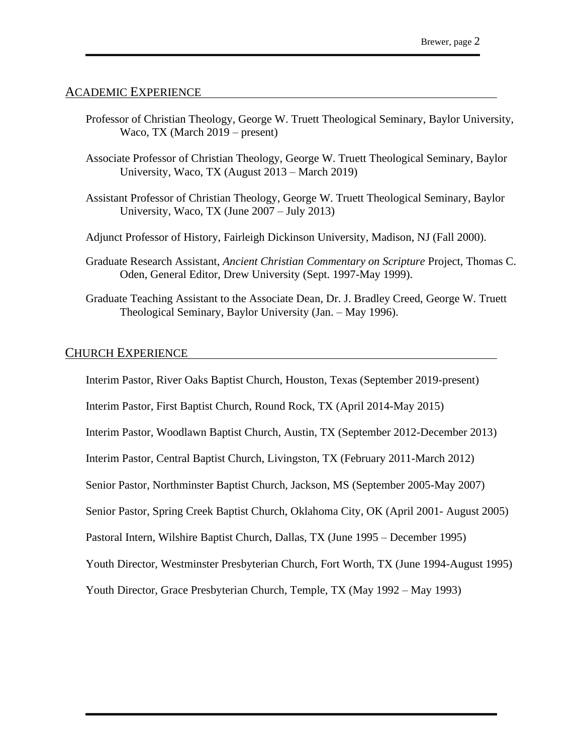#### ACADEMIC EXPERIENCE

- Professor of Christian Theology, George W. Truett Theological Seminary, Baylor University, Waco, TX (March 2019 – present)
- Associate Professor of Christian Theology, George W. Truett Theological Seminary, Baylor University, Waco, TX (August 2013 – March 2019)
- Assistant Professor of Christian Theology, George W. Truett Theological Seminary, Baylor University, Waco, TX (June 2007 – July 2013)
- Adjunct Professor of History, Fairleigh Dickinson University, Madison, NJ (Fall 2000).
- Graduate Research Assistant, *Ancient Christian Commentary on Scripture* Project, Thomas C. Oden, General Editor, Drew University (Sept. 1997-May 1999).
- Graduate Teaching Assistant to the Associate Dean, Dr. J. Bradley Creed, George W. Truett Theological Seminary, Baylor University (Jan. – May 1996).

#### CHURCH EXPERIENCE

Interim Pastor, River Oaks Baptist Church, Houston, Texas (September 2019-present)

Interim Pastor, First Baptist Church, Round Rock, TX (April 2014-May 2015)

Interim Pastor, Woodlawn Baptist Church, Austin, TX (September 2012-December 2013)

Interim Pastor, Central Baptist Church, Livingston, TX (February 2011-March 2012)

Senior Pastor, Northminster Baptist Church, Jackson, MS (September 2005-May 2007)

Senior Pastor, Spring Creek Baptist Church, Oklahoma City, OK (April 2001- August 2005)

Pastoral Intern, Wilshire Baptist Church, Dallas, TX (June 1995 – December 1995)

Youth Director, Westminster Presbyterian Church, Fort Worth, TX (June 1994-August 1995)

Youth Director, Grace Presbyterian Church, Temple, TX (May 1992 – May 1993)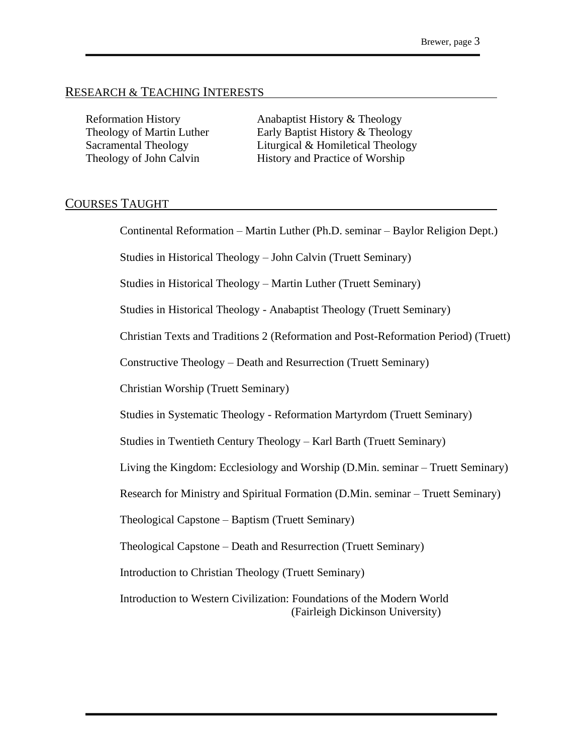#### RESEARCH & TEACHING INTERESTS

Reformation History **Anabaptist History & Theology** Theology of Martin Luther Early Baptist History & Theology Sacramental Theology Liturgical & Homiletical Theology Theology of John Calvin History and Practice of Worship

## COURSES TAUGHT

Continental Reformation – Martin Luther (Ph.D. seminar – Baylor Religion Dept.)

Studies in Historical Theology – John Calvin (Truett Seminary)

Studies in Historical Theology – Martin Luther (Truett Seminary)

Studies in Historical Theology - Anabaptist Theology (Truett Seminary)

Christian Texts and Traditions 2 (Reformation and Post-Reformation Period) (Truett)

Constructive Theology – Death and Resurrection (Truett Seminary)

Christian Worship (Truett Seminary)

Studies in Systematic Theology - Reformation Martyrdom (Truett Seminary)

Studies in Twentieth Century Theology – Karl Barth (Truett Seminary)

Living the Kingdom: Ecclesiology and Worship (D.Min. seminar – Truett Seminary)

Research for Ministry and Spiritual Formation (D.Min. seminar – Truett Seminary)

Theological Capstone – Baptism (Truett Seminary)

Theological Capstone – Death and Resurrection (Truett Seminary)

Introduction to Christian Theology (Truett Seminary)

Introduction to Western Civilization: Foundations of the Modern World (Fairleigh Dickinson University)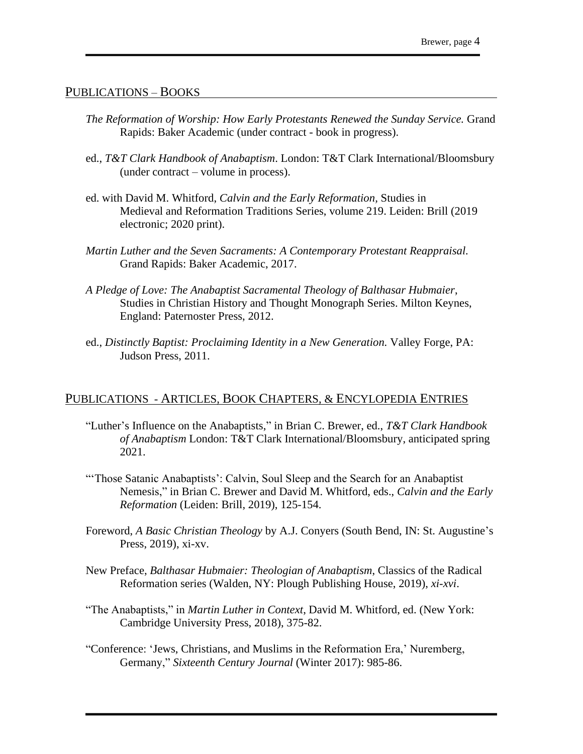#### PUBLICATIONS – BOOKS

- *The Reformation of Worship: How Early Protestants Renewed the Sunday Service.* Grand Rapids: Baker Academic (under contract - book in progress).
- ed., *T&T Clark Handbook of Anabaptism*. London: T&T Clark International/Bloomsbury (under contract – volume in process).
- ed. with David M. Whitford, *Calvin and the Early Reformation,* Studies in Medieval and Reformation Traditions Series, volume 219. Leiden: Brill (2019 electronic; 2020 print).
- *Martin Luther and the Seven Sacraments: A Contemporary Protestant Reappraisal.* Grand Rapids: Baker Academic, 2017.
- *A Pledge of Love: The Anabaptist Sacramental Theology of Balthasar Hubmaier*, Studies in Christian History and Thought Monograph Series. Milton Keynes, England: Paternoster Press, 2012.
- ed., *Distinctly Baptist: Proclaiming Identity in a New Generation.* Valley Forge, PA: Judson Press, 2011.

## PUBLICATIONS - ARTICLES, BOOK CHAPTERS, & ENCYLOPEDIA ENTRIES

- "Luther's Influence on the Anabaptists," in Brian C. Brewer, ed., *T&T Clark Handbook of Anabaptism* London: T&T Clark International/Bloomsbury, anticipated spring 2021.
- "Those Satanic Anabaptists': Calvin, Soul Sleep and the Search for an Anabaptist Nemesis," in Brian C. Brewer and David M. Whitford, eds., *Calvin and the Early Reformation* (Leiden: Brill, 2019), 125-154.
- Foreword, *A Basic Christian Theology* by A.J. Conyers (South Bend, IN: St. Augustine's Press, 2019), xi-xv.
- New Preface, *Balthasar Hubmaier: Theologian of Anabaptism*, Classics of the Radical Reformation series (Walden, NY: Plough Publishing House, 2019), *xi-xvi*.
- "The Anabaptists," in *Martin Luther in Context*, David M. Whitford, ed. (New York: Cambridge University Press, 2018), 375-82.
- "Conference: 'Jews, Christians, and Muslims in the Reformation Era,' Nuremberg, Germany," *Sixteenth Century Journal* (Winter 2017): 985-86.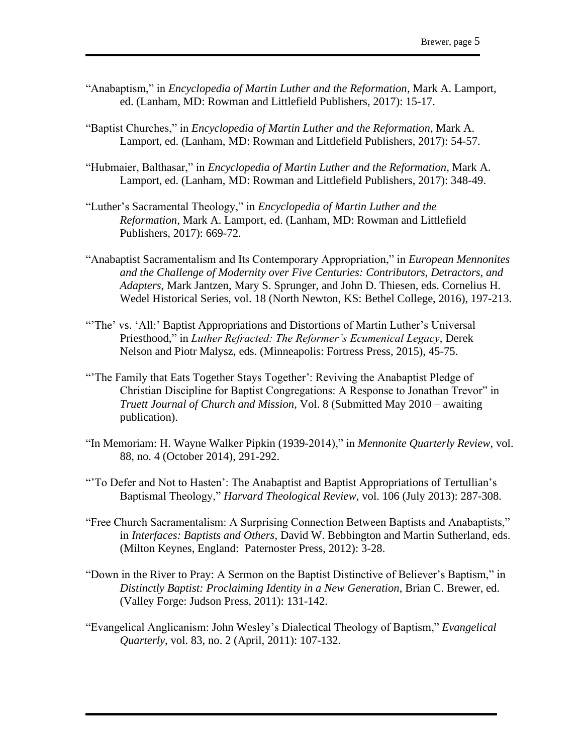- "Anabaptism," in *Encyclopedia of Martin Luther and the Reformation*, Mark A. Lamport, ed. (Lanham, MD: Rowman and Littlefield Publishers, 2017): 15-17.
- "Baptist Churches," in *Encyclopedia of Martin Luther and the Reformation*, Mark A. Lamport, ed. (Lanham, MD: Rowman and Littlefield Publishers, 2017): 54-57.
- "Hubmaier, Balthasar," in *Encyclopedia of Martin Luther and the Reformation*, Mark A. Lamport, ed. (Lanham, MD: Rowman and Littlefield Publishers, 2017): 348-49.
- "Luther's Sacramental Theology," in *Encyclopedia of Martin Luther and the Reformation*, Mark A. Lamport, ed. (Lanham, MD: Rowman and Littlefield Publishers, 2017): 669-72.
- "Anabaptist Sacramentalism and Its Contemporary Appropriation," in *European Mennonites and the Challenge of Modernity over Five Centuries: Contributors, Detractors, and Adapters*, Mark Jantzen, Mary S. Sprunger, and John D. Thiesen, eds. Cornelius H. Wedel Historical Series, vol. 18 (North Newton, KS: Bethel College, 2016), 197-213.
- "The' vs. 'All:' Baptist Appropriations and Distortions of Martin Luther's Universal Priesthood," in *Luther Refracted: The Reformer's Ecumenical Legacy*, Derek Nelson and Piotr Malysz, eds. (Minneapolis: Fortress Press, 2015), 45-75.
- "The Family that Eats Together Stays Together': Reviving the Anabaptist Pledge of Christian Discipline for Baptist Congregations: A Response to Jonathan Trevor" in *Truett Journal of Church and Mission*, Vol. 8 (Submitted May 2010 – awaiting publication).
- "In Memoriam: H. Wayne Walker Pipkin (1939-2014)," in *Mennonite Quarterly Review*, vol. 88, no. 4 (October 2014), 291-292.
- "'To Defer and Not to Hasten': The Anabaptist and Baptist Appropriations of Tertullian's Baptismal Theology," *Harvard Theological Review*, vol. 106 (July 2013): 287-308.
- "Free Church Sacramentalism: A Surprising Connection Between Baptists and Anabaptists," in *Interfaces: Baptists and Others*, David W. Bebbington and Martin Sutherland, eds. (Milton Keynes, England: Paternoster Press, 2012): 3-28.
- "Down in the River to Pray: A Sermon on the Baptist Distinctive of Believer's Baptism," in *Distinctly Baptist: Proclaiming Identity in a New Generation*, Brian C. Brewer, ed. (Valley Forge: Judson Press, 2011): 131-142.
- "Evangelical Anglicanism: John Wesley's Dialectical Theology of Baptism," *Evangelical Quarterly*, vol. 83, no. 2 (April, 2011): 107-132.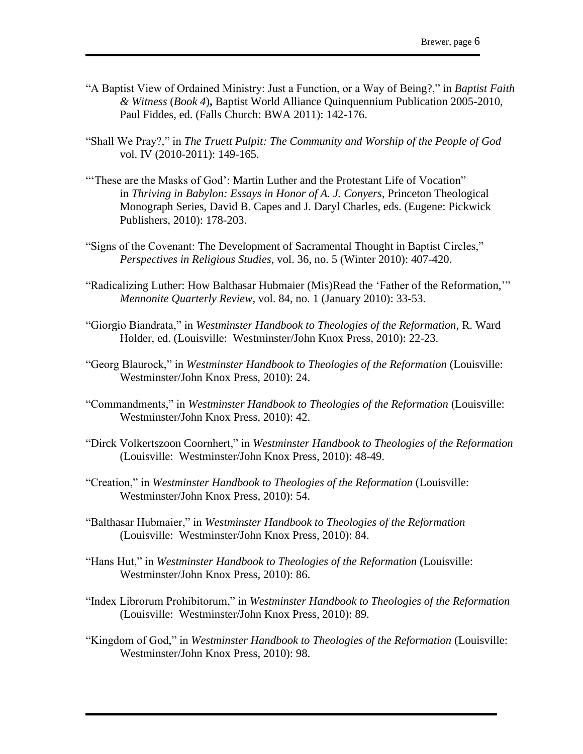- "A Baptist View of Ordained Ministry: Just a Function, or a Way of Being?," in *Baptist Faith & Witness* (*Book 4*)**,** Baptist World Alliance Quinquennium Publication 2005-2010, Paul Fiddes, ed. (Falls Church: BWA 2011): 142-176.
- "Shall We Pray?," in *The Truett Pulpit: The Community and Worship of the People of God* vol. IV (2010-2011): 149-165.
- "These are the Masks of God': Martin Luther and the Protestant Life of Vocation" in *Thriving in Babylon: Essays in Honor of A. J. Conyers*, Princeton Theological Monograph Series, David B. Capes and J. Daryl Charles, eds. (Eugene: Pickwick Publishers, 2010): 178-203.
- "Signs of the Covenant: The Development of Sacramental Thought in Baptist Circles," *Perspectives in Religious Studies*, vol. 36, no. 5 (Winter 2010): 407-420.
- "Radicalizing Luther: How Balthasar Hubmaier (Mis)Read the 'Father of the Reformation,'" *Mennonite Quarterly Review*, vol. 84, no. 1 (January 2010): 33-53.
- "Giorgio Biandrata," in *Westminster Handbook to Theologies of the Reformation,* R. Ward Holder, ed. (Louisville: Westminster/John Knox Press, 2010): 22-23.
- "Georg Blaurock," in *Westminster Handbook to Theologies of the Reformation* (Louisville: Westminster/John Knox Press, 2010): 24.
- "Commandments," in *Westminster Handbook to Theologies of the Reformation* (Louisville: Westminster/John Knox Press, 2010): 42.
- "Dirck Volkertszoon Coornhert," in *Westminster Handbook to Theologies of the Reformation* (Louisville: Westminster/John Knox Press, 2010): 48-49.
- "Creation," in *Westminster Handbook to Theologies of the Reformation* (Louisville: Westminster/John Knox Press, 2010): 54.
- "Balthasar Hubmaier," in *Westminster Handbook to Theologies of the Reformation* (Louisville: Westminster/John Knox Press, 2010): 84.
- "Hans Hut," in *Westminster Handbook to Theologies of the Reformation* (Louisville: Westminster/John Knox Press, 2010): 86.
- "Index Librorum Prohibitorum," in *Westminster Handbook to Theologies of the Reformation* (Louisville: Westminster/John Knox Press, 2010): 89.
- "Kingdom of God," in *Westminster Handbook to Theologies of the Reformation* (Louisville: Westminster/John Knox Press, 2010): 98.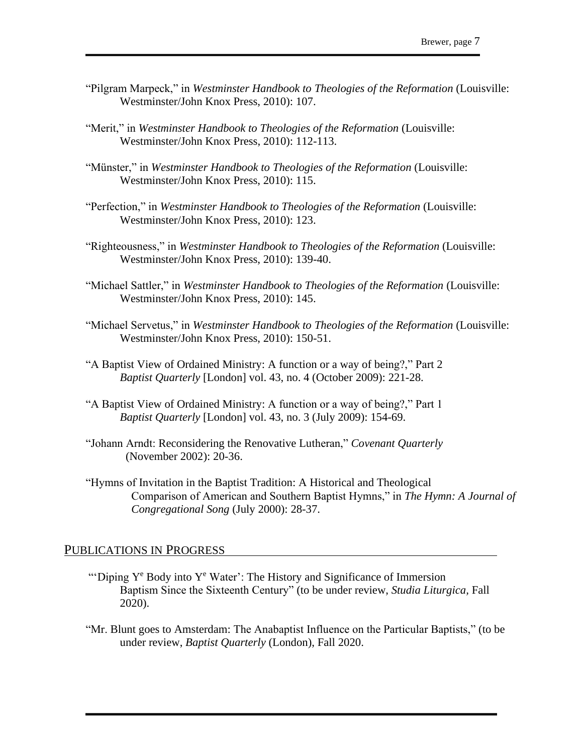- "Pilgram Marpeck," in *Westminster Handbook to Theologies of the Reformation* (Louisville: Westminster/John Knox Press, 2010): 107.
- "Merit," in *Westminster Handbook to Theologies of the Reformation* (Louisville: Westminster/John Knox Press, 2010): 112-113.
- "Münster," in *Westminster Handbook to Theologies of the Reformation* (Louisville: Westminster/John Knox Press, 2010): 115.
- "Perfection," in *Westminster Handbook to Theologies of the Reformation* (Louisville: Westminster/John Knox Press, 2010): 123.
- "Righteousness," in *Westminster Handbook to Theologies of the Reformation* (Louisville: Westminster/John Knox Press, 2010): 139-40.
- "Michael Sattler," in *Westminster Handbook to Theologies of the Reformation* (Louisville: Westminster/John Knox Press, 2010): 145.
- "Michael Servetus," in *Westminster Handbook to Theologies of the Reformation* (Louisville: Westminster/John Knox Press, 2010): 150-51.
- "A Baptist View of Ordained Ministry: A function or a way of being?," Part 2 *Baptist Quarterly* [London] vol. 43, no. 4 (October 2009): 221-28.
- "A Baptist View of Ordained Ministry: A function or a way of being?," Part 1 *Baptist Quarterly* [London] vol. 43, no. 3 (July 2009): 154-69.
- "Johann Arndt: Reconsidering the Renovative Lutheran," *Covenant Quarterly* (November 2002): 20-36.
- "Hymns of Invitation in the Baptist Tradition: A Historical and Theological Comparison of American and Southern Baptist Hymns," in *The Hymn: A Journal of Congregational Song* (July 2000): 28-37.

# PUBLICATIONS IN PROGRESS

- "Diping  $Y^e$  Body into  $Y^e$  Water': The History and Significance of Immersion Baptism Since the Sixteenth Century" (to be under review, *Studia Liturgica,* Fall 2020).
- "Mr. Blunt goes to Amsterdam: The Anabaptist Influence on the Particular Baptists," (to be under review, *Baptist Quarterly* (London), Fall 2020.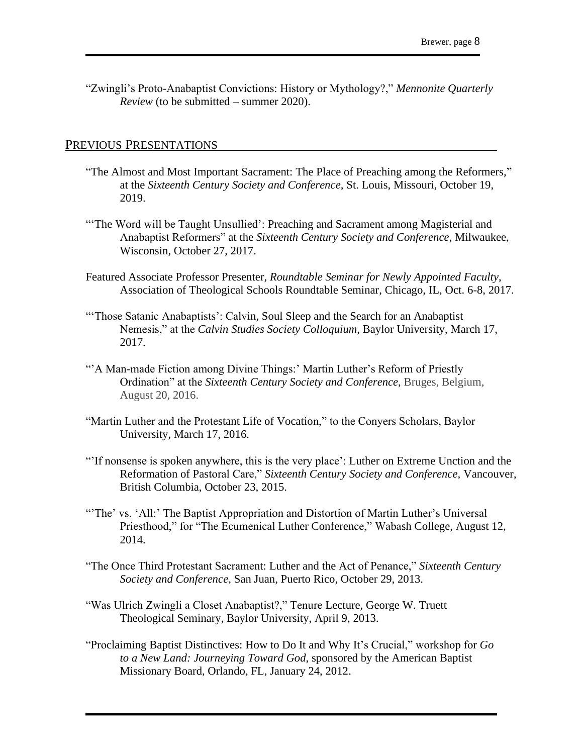"Zwingli's Proto-Anabaptist Convictions: History or Mythology?," *Mennonite Quarterly Review* (to be submitted – summer 2020).

#### PREVIOUS PRESENTATIONS

- "The Almost and Most Important Sacrament: The Place of Preaching among the Reformers," at the *Sixteenth Century Society and Conference,* St. Louis, Missouri, October 19, 2019.
- "The Word will be Taught Unsullied': Preaching and Sacrament among Magisterial and Anabaptist Reformers" at the *Sixteenth Century Society and Conference*, Milwaukee, Wisconsin, October 27, 2017.
- Featured Associate Professor Presenter, *Roundtable Seminar for Newly Appointed Faculty*, Association of Theological Schools Roundtable Seminar, Chicago, IL, Oct. 6-8, 2017.
- "Those Satanic Anabaptists': Calvin, Soul Sleep and the Search for an Anabaptist Nemesis," at the *Calvin Studies Society Colloquium*, Baylor University, March 17, 2017.
- "'A Man-made Fiction among Divine Things:' Martin Luther's Reform of Priestly Ordination" at the *Sixteenth Century Society and Conference*, Bruges, Belgium, August 20, 2016.
- "Martin Luther and the Protestant Life of Vocation," to the Conyers Scholars, Baylor University, March 17, 2016.
- "'If nonsense is spoken anywhere, this is the very place': Luther on Extreme Unction and the Reformation of Pastoral Care," *Sixteenth Century Society and Conference,* Vancouver, British Columbia, October 23, 2015.
- "The' vs. 'All:' The Baptist Appropriation and Distortion of Martin Luther's Universal Priesthood," for "The Ecumenical Luther Conference," Wabash College, August 12, 2014.
- "The Once Third Protestant Sacrament: Luther and the Act of Penance," *Sixteenth Century Society and Conference*, San Juan, Puerto Rico, October 29, 2013.
- "Was Ulrich Zwingli a Closet Anabaptist?," Tenure Lecture, George W. Truett Theological Seminary, Baylor University, April 9, 2013.
- "Proclaiming Baptist Distinctives: How to Do It and Why It's Crucial," workshop for *Go to a New Land: Journeying Toward God*, sponsored by the American Baptist Missionary Board, Orlando, FL, January 24, 2012.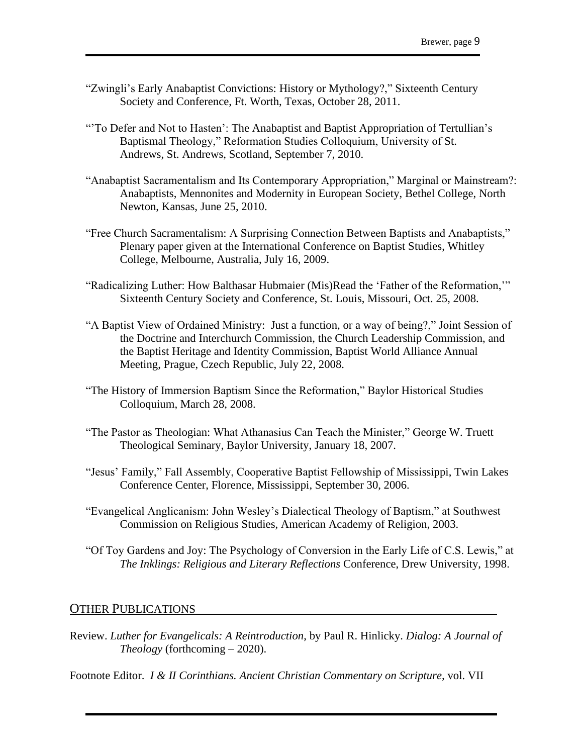- "Zwingli's Early Anabaptist Convictions: History or Mythology?," Sixteenth Century Society and Conference, Ft. Worth, Texas, October 28, 2011.
- "'To Defer and Not to Hasten': The Anabaptist and Baptist Appropriation of Tertullian's Baptismal Theology," Reformation Studies Colloquium, University of St. Andrews, St. Andrews, Scotland, September 7, 2010.
- "Anabaptist Sacramentalism and Its Contemporary Appropriation," Marginal or Mainstream?: Anabaptists, Mennonites and Modernity in European Society, Bethel College, North Newton, Kansas, June 25, 2010.
- "Free Church Sacramentalism: A Surprising Connection Between Baptists and Anabaptists," Plenary paper given at the International Conference on Baptist Studies, Whitley College, Melbourne, Australia, July 16, 2009.
- "Radicalizing Luther: How Balthasar Hubmaier (Mis)Read the 'Father of the Reformation,'" Sixteenth Century Society and Conference, St. Louis, Missouri, Oct. 25, 2008.
- "A Baptist View of Ordained Ministry: Just a function, or a way of being?," Joint Session of the Doctrine and Interchurch Commission, the Church Leadership Commission, and the Baptist Heritage and Identity Commission, Baptist World Alliance Annual Meeting, Prague, Czech Republic, July 22, 2008.
- "The History of Immersion Baptism Since the Reformation," Baylor Historical Studies Colloquium, March 28, 2008.
- "The Pastor as Theologian: What Athanasius Can Teach the Minister," George W. Truett Theological Seminary, Baylor University, January 18, 2007.
- "Jesus' Family," Fall Assembly, Cooperative Baptist Fellowship of Mississippi, Twin Lakes Conference Center, Florence, Mississippi, September 30, 2006.
- "Evangelical Anglicanism: John Wesley's Dialectical Theology of Baptism," at Southwest Commission on Religious Studies, American Academy of Religion, 2003.
- "Of Toy Gardens and Joy: The Psychology of Conversion in the Early Life of C.S. Lewis," at *The Inklings: Religious and Literary Reflections* Conference, Drew University, 1998.

# OTHER PUBLICATIONS

Review. *Luther for Evangelicals: A Reintroduction*, by Paul R. Hinlicky. *Dialog: A Journal of Theology* (forthcoming – 2020).

Footnote Editor. *I & II Corinthians. Ancient Christian Commentary on Scripture,* vol. VII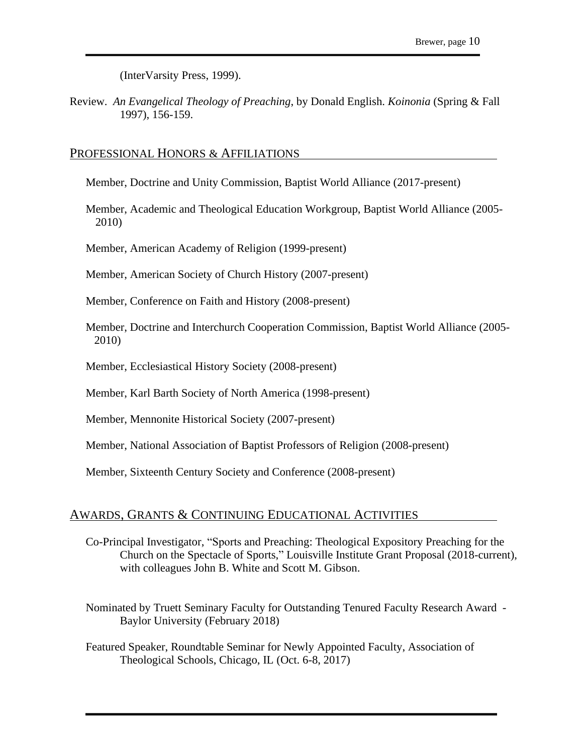(InterVarsity Press, 1999).

Review. *An Evangelical Theology of Preaching*, by Donald English. *Koinonia* (Spring & Fall 1997), 156-159.

## PROFESSIONAL HONORS & AFFILIATIONS

Member, Doctrine and Unity Commission, Baptist World Alliance (2017-present)

Member, Academic and Theological Education Workgroup, Baptist World Alliance (2005- 2010)

Member, American Academy of Religion (1999-present)

Member, American Society of Church History (2007-present)

Member, Conference on Faith and History (2008-present)

- Member, Doctrine and Interchurch Cooperation Commission, Baptist World Alliance (2005- 2010)
- Member, Ecclesiastical History Society (2008-present)

Member, Karl Barth Society of North America (1998-present)

Member, Mennonite Historical Society (2007-present)

Member, National Association of Baptist Professors of Religion (2008-present)

Member, Sixteenth Century Society and Conference (2008-present)

## AWARDS, GRANTS & CONTINUING EDUCATIONAL ACTIVITIES

- Co-Principal Investigator, "Sports and Preaching: Theological Expository Preaching for the Church on the Spectacle of Sports," Louisville Institute Grant Proposal (2018-current), with colleagues John B. White and Scott M. Gibson.
- Nominated by Truett Seminary Faculty for Outstanding Tenured Faculty Research Award Baylor University (February 2018)
- Featured Speaker, Roundtable Seminar for Newly Appointed Faculty, Association of Theological Schools, Chicago, IL (Oct. 6-8, 2017)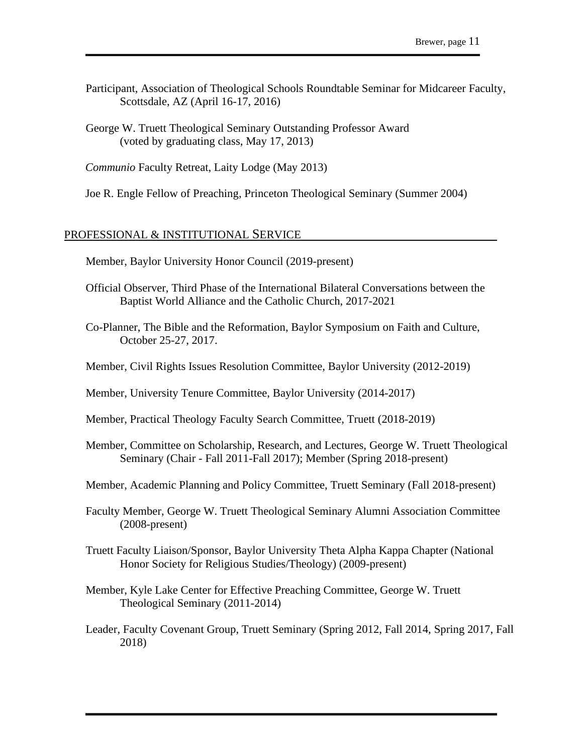- Participant, Association of Theological Schools Roundtable Seminar for Midcareer Faculty, Scottsdale, AZ (April 16-17, 2016)
- George W. Truett Theological Seminary Outstanding Professor Award (voted by graduating class, May 17, 2013)

*Communio* Faculty Retreat, Laity Lodge (May 2013)

Joe R. Engle Fellow of Preaching, Princeton Theological Seminary (Summer 2004)

## PROFESSIONAL & INSTITUTIONAL SERVICE

Member, Baylor University Honor Council (2019-present)

- Official Observer, Third Phase of the International Bilateral Conversations between the Baptist World Alliance and the Catholic Church, 2017-2021
- Co-Planner, The Bible and the Reformation, Baylor Symposium on Faith and Culture, October 25-27, 2017.
- Member, Civil Rights Issues Resolution Committee, Baylor University (2012-2019)
- Member, University Tenure Committee, Baylor University (2014-2017)
- Member, Practical Theology Faculty Search Committee, Truett (2018-2019)
- Member, Committee on Scholarship, Research, and Lectures, George W. Truett Theological Seminary (Chair - Fall 2011-Fall 2017); Member (Spring 2018-present)
- Member, Academic Planning and Policy Committee, Truett Seminary (Fall 2018-present)
- Faculty Member, George W. Truett Theological Seminary Alumni Association Committee (2008-present)
- Truett Faculty Liaison/Sponsor, Baylor University Theta Alpha Kappa Chapter (National Honor Society for Religious Studies/Theology) (2009-present)
- Member, Kyle Lake Center for Effective Preaching Committee, George W. Truett Theological Seminary (2011-2014)
- Leader, Faculty Covenant Group, Truett Seminary (Spring 2012, Fall 2014, Spring 2017, Fall 2018)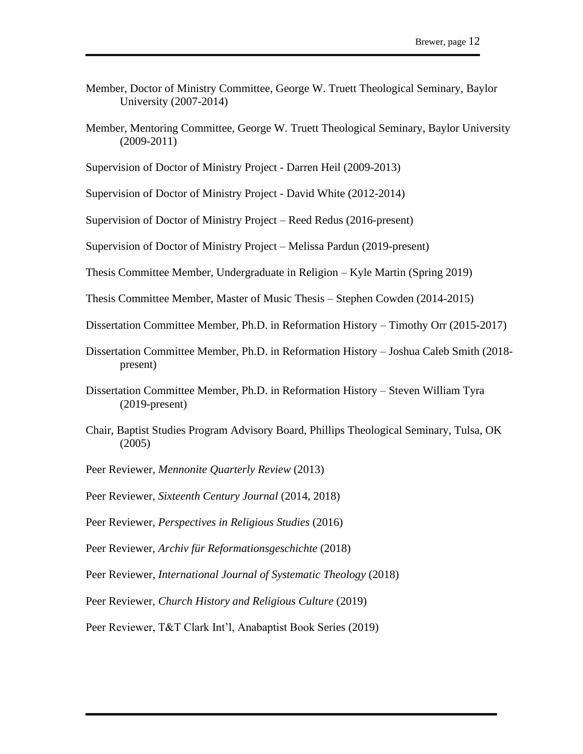- Member, Doctor of Ministry Committee, George W. Truett Theological Seminary, Baylor University (2007-2014)
- Member, Mentoring Committee, George W. Truett Theological Seminary, Baylor University (2009-2011)

Supervision of Doctor of Ministry Project - Darren Heil (2009-2013)

Supervision of Doctor of Ministry Project - David White (2012-2014)

Supervision of Doctor of Ministry Project – Reed Redus (2016-present)

Supervision of Doctor of Ministry Project – Melissa Pardun (2019-present)

Thesis Committee Member, Undergraduate in Religion – Kyle Martin (Spring 2019)

Thesis Committee Member, Master of Music Thesis – Stephen Cowden (2014-2015)

Dissertation Committee Member, Ph.D. in Reformation History – Timothy Orr (2015-2017)

- Dissertation Committee Member, Ph.D. in Reformation History Joshua Caleb Smith (2018 present)
- Dissertation Committee Member, Ph.D. in Reformation History Steven William Tyra (2019-present)
- Chair, Baptist Studies Program Advisory Board, Phillips Theological Seminary, Tulsa, OK (2005)
- Peer Reviewer, *Mennonite Quarterly Review* (2013)

Peer Reviewer, *Sixteenth Century Journal* (2014, 2018)

Peer Reviewer, *Perspectives in Religious Studies* (2016)

Peer Reviewer, *Archiv für Reformationsgeschichte* (2018)

Peer Reviewer, *International Journal of Systematic Theology* (2018)

Peer Reviewer, *Church History and Religious Culture* (2019)

Peer Reviewer, T&T Clark Int'l, Anabaptist Book Series (2019)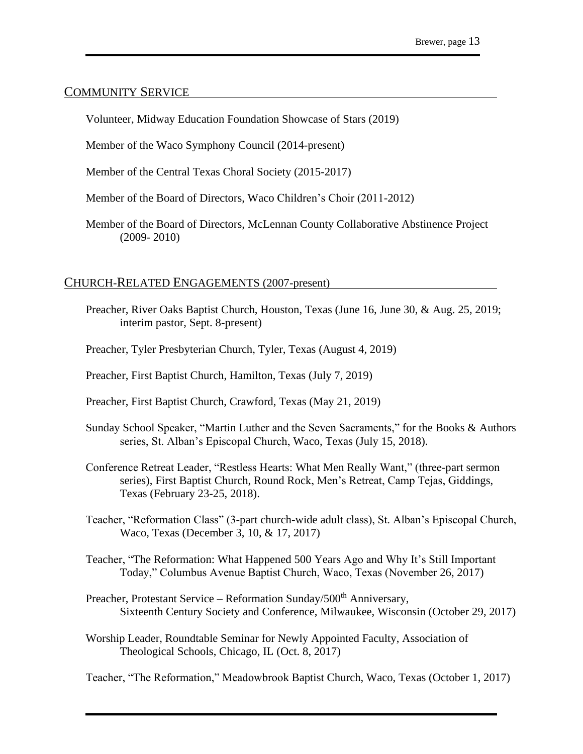# COMMUNITY SERVICE

Volunteer, Midway Education Foundation Showcase of Stars (2019)

Member of the Waco Symphony Council (2014-present)

Member of the Central Texas Choral Society (2015-2017)

Member of the Board of Directors, Waco Children's Choir (2011-2012)

Member of the Board of Directors, McLennan County Collaborative Abstinence Project (2009- 2010)

# CHURCH-RELATED ENGAGEMENTS (2007-present)

- Preacher, River Oaks Baptist Church, Houston, Texas (June 16, June 30, & Aug. 25, 2019; interim pastor, Sept. 8-present)
- Preacher, Tyler Presbyterian Church, Tyler, Texas (August 4, 2019)

Preacher, First Baptist Church, Hamilton, Texas (July 7, 2019)

- Preacher, First Baptist Church, Crawford, Texas (May 21, 2019)
- Sunday School Speaker, "Martin Luther and the Seven Sacraments," for the Books & Authors series, St. Alban's Episcopal Church, Waco, Texas (July 15, 2018).
- Conference Retreat Leader, "Restless Hearts: What Men Really Want," (three-part sermon series), First Baptist Church, Round Rock, Men's Retreat, Camp Tejas, Giddings, Texas (February 23-25, 2018).
- Teacher, "Reformation Class" (3-part church-wide adult class), St. Alban's Episcopal Church, Waco, Texas (December 3, 10, & 17, 2017)
- Teacher, "The Reformation: What Happened 500 Years Ago and Why It's Still Important Today," Columbus Avenue Baptist Church, Waco, Texas (November 26, 2017)
- Preacher, Protestant Service Reformation Sunday/500<sup>th</sup> Anniversary, Sixteenth Century Society and Conference, Milwaukee, Wisconsin (October 29, 2017)
- Worship Leader, Roundtable Seminar for Newly Appointed Faculty, Association of Theological Schools, Chicago, IL (Oct. 8, 2017)

Teacher, "The Reformation," Meadowbrook Baptist Church, Waco, Texas (October 1, 2017)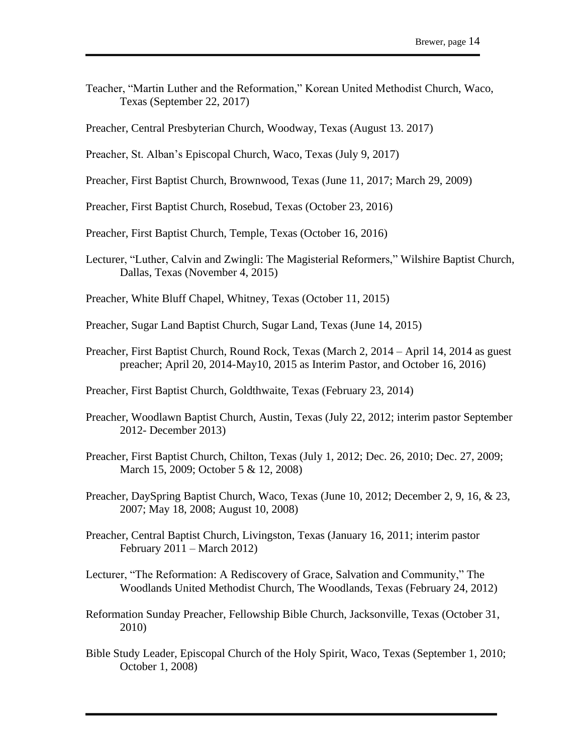- Teacher, "Martin Luther and the Reformation," Korean United Methodist Church, Waco, Texas (September 22, 2017)
- Preacher, Central Presbyterian Church, Woodway, Texas (August 13. 2017)
- Preacher, St. Alban's Episcopal Church, Waco, Texas (July 9, 2017)
- Preacher, First Baptist Church, Brownwood, Texas (June 11, 2017; March 29, 2009)
- Preacher, First Baptist Church, Rosebud, Texas (October 23, 2016)
- Preacher, First Baptist Church, Temple, Texas (October 16, 2016)
- Lecturer, "Luther, Calvin and Zwingli: The Magisterial Reformers," Wilshire Baptist Church, Dallas, Texas (November 4, 2015)
- Preacher, White Bluff Chapel, Whitney, Texas (October 11, 2015)
- Preacher, Sugar Land Baptist Church, Sugar Land, Texas (June 14, 2015)
- Preacher, First Baptist Church, Round Rock, Texas (March 2, 2014 April 14, 2014 as guest preacher; April 20, 2014-May10, 2015 as Interim Pastor, and October 16, 2016)
- Preacher, First Baptist Church, Goldthwaite, Texas (February 23, 2014)
- Preacher, Woodlawn Baptist Church, Austin, Texas (July 22, 2012; interim pastor September 2012- December 2013)
- Preacher, First Baptist Church, Chilton, Texas (July 1, 2012; Dec. 26, 2010; Dec. 27, 2009; March 15, 2009; October 5 & 12, 2008)
- Preacher, DaySpring Baptist Church, Waco, Texas (June 10, 2012; December 2, 9, 16, & 23, 2007; May 18, 2008; August 10, 2008)
- Preacher, Central Baptist Church, Livingston, Texas (January 16, 2011; interim pastor February 2011 – March 2012)
- Lecturer, "The Reformation: A Rediscovery of Grace, Salvation and Community," The Woodlands United Methodist Church, The Woodlands, Texas (February 24, 2012)
- Reformation Sunday Preacher, Fellowship Bible Church, Jacksonville, Texas (October 31, 2010)
- Bible Study Leader, Episcopal Church of the Holy Spirit, Waco, Texas (September 1, 2010; October 1, 2008)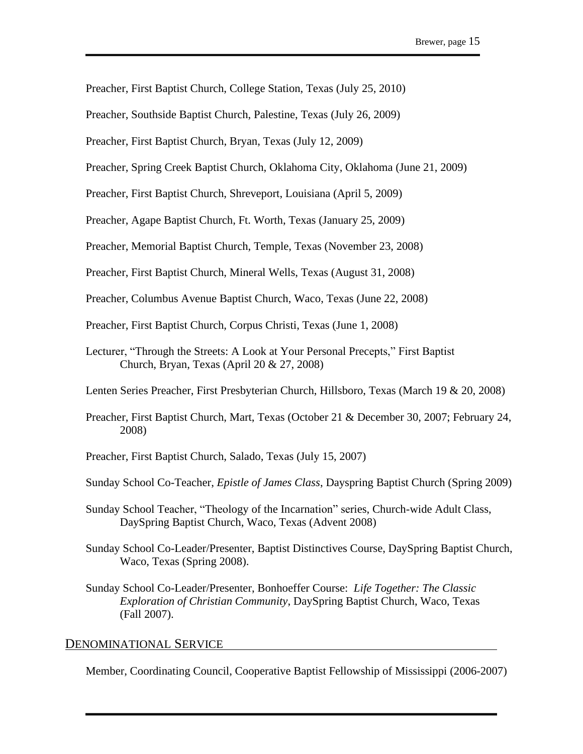- Preacher, First Baptist Church, College Station, Texas (July 25, 2010)
- Preacher, Southside Baptist Church, Palestine, Texas (July 26, 2009)
- Preacher, First Baptist Church, Bryan, Texas (July 12, 2009)
- Preacher, Spring Creek Baptist Church, Oklahoma City, Oklahoma (June 21, 2009)
- Preacher, First Baptist Church, Shreveport, Louisiana (April 5, 2009)
- Preacher, Agape Baptist Church, Ft. Worth, Texas (January 25, 2009)
- Preacher, Memorial Baptist Church, Temple, Texas (November 23, 2008)
- Preacher, First Baptist Church, Mineral Wells, Texas (August 31, 2008)
- Preacher, Columbus Avenue Baptist Church, Waco, Texas (June 22, 2008)
- Preacher, First Baptist Church, Corpus Christi, Texas (June 1, 2008)
- Lecturer, "Through the Streets: A Look at Your Personal Precepts," First Baptist Church, Bryan, Texas (April 20 & 27, 2008)
- Lenten Series Preacher, First Presbyterian Church, Hillsboro, Texas (March 19 & 20, 2008)
- Preacher, First Baptist Church, Mart, Texas (October 21 & December 30, 2007; February 24, 2008)
- Preacher, First Baptist Church, Salado, Texas (July 15, 2007)
- Sunday School Co-Teacher, *Epistle of James Class*, Dayspring Baptist Church (Spring 2009)
- Sunday School Teacher, "Theology of the Incarnation" series, Church-wide Adult Class, DaySpring Baptist Church, Waco, Texas (Advent 2008)
- Sunday School Co-Leader/Presenter, Baptist Distinctives Course, DaySpring Baptist Church, Waco, Texas (Spring 2008).
- Sunday School Co-Leader/Presenter, Bonhoeffer Course: *Life Together: The Classic Exploration of Christian Community*, DaySpring Baptist Church, Waco, Texas (Fall 2007).

# DENOMINATIONAL SERVICE

Member, Coordinating Council, Cooperative Baptist Fellowship of Mississippi (2006-2007)